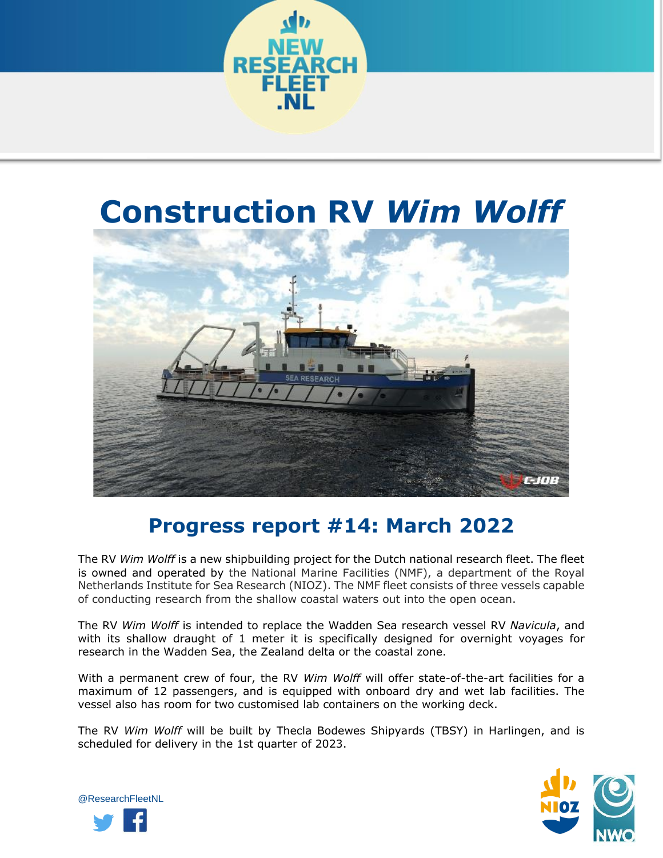

## **Construction RV** *Wim Wolff*



## **Progress report #14: March 2022**

The RV *Wim Wolff* is a new shipbuilding project for the Dutch national research fleet. The fleet is owned and operated by the National Marine Facilities (NMF), a department of the Royal Netherlands Institute for Sea Research (NIOZ). The NMF fleet consists of three vessels capable of conducting research from the shallow coastal waters out into the open ocean.

The RV *Wim Wolff* is intended to replace the Wadden Sea research vessel RV *Navicula*, and with its shallow draught of 1 meter it is specifically designed for overnight voyages for research in the Wadden Sea, the Zealand delta or the coastal zone.

With a permanent crew of four, the RV *Wim Wolff* will offer state-of-the-art facilities for a maximum of 12 passengers, and is equipped with onboard dry and wet lab facilities. The vessel also has room for two customised lab containers on the working deck.

The RV *Wim Wolff* will be built by Thecla Bodewes Shipyards (TBSY) in Harlingen, and is scheduled for delivery in the 1st quarter of 2023.



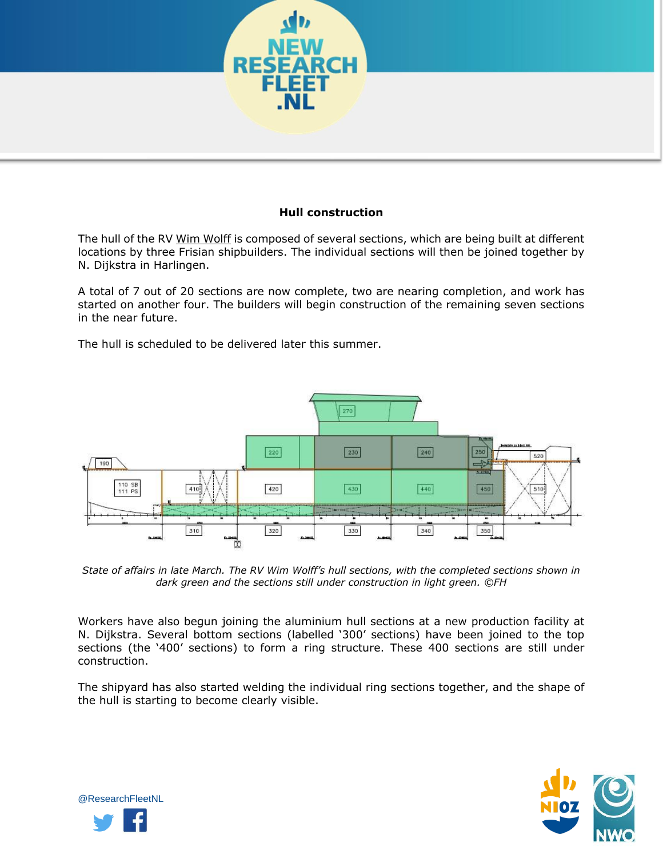

## **Hull construction**

The hull of the RV Wim Wolff is composed of several sections, which are being built at different locations by three Frisian shipbuilders. The individual sections will then be joined together by N. Dijkstra in Harlingen.

A total of 7 out of 20 sections are now complete, two are nearing completion, and work has started on another four. The builders will begin construction of the remaining seven sections in the near future.

The hull is scheduled to be delivered later this summer.



*State of affairs in late March. The RV Wim Wolff's hull sections, with the completed sections shown in dark green and the sections still under construction in light green. ©FH*

Workers have also begun joining the aluminium hull sections at a new production facility at N. Dijkstra. Several bottom sections (labelled '300' sections) have been joined to the top sections (the '400' sections) to form a ring structure. These 400 sections are still under construction.

The shipyard has also started welding the individual ring sections together, and the shape of the hull is starting to become clearly visible.



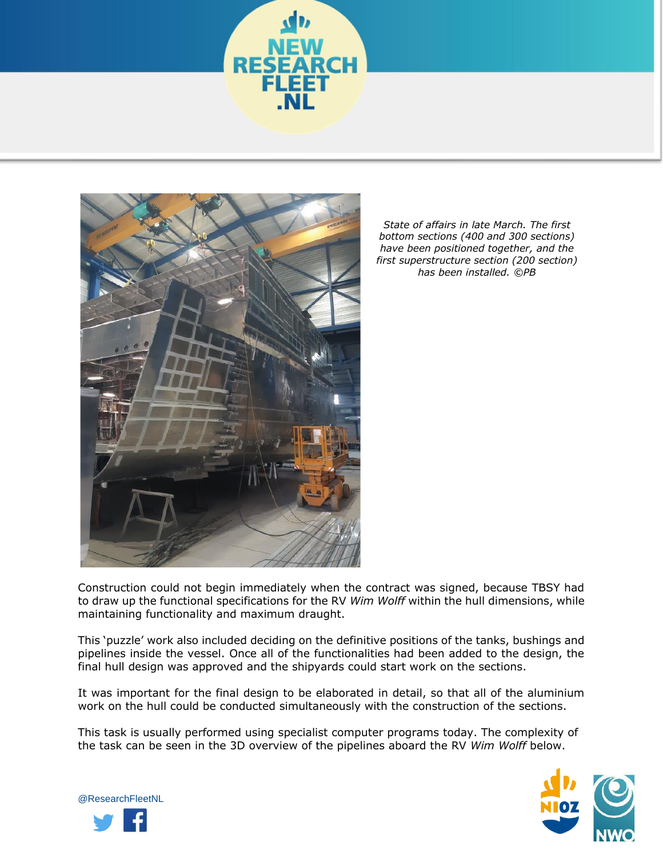



*State of affairs in late March. The first bottom sections (400 and 300 sections) have been positioned together, and the first superstructure section (200 section) has been installed. ©PB*

Construction could not begin immediately when the contract was signed, because TBSY had to draw up the functional specifications for the RV *Wim Wolff* within the hull dimensions, while maintaining functionality and maximum draught.

This 'puzzle' work also included deciding on the definitive positions of the tanks, bushings and pipelines inside the vessel. Once all of the functionalities had been added to the design, the final hull design was approved and the shipyards could start work on the sections.

It was important for the final design to be elaborated in detail, so that all of the aluminium work on the hull could be conducted simultaneously with the construction of the sections.

This task is usually performed using specialist computer programs today. The complexity of the task can be seen in the 3D overview of the pipelines aboard the RV *Wim Wolff* below.